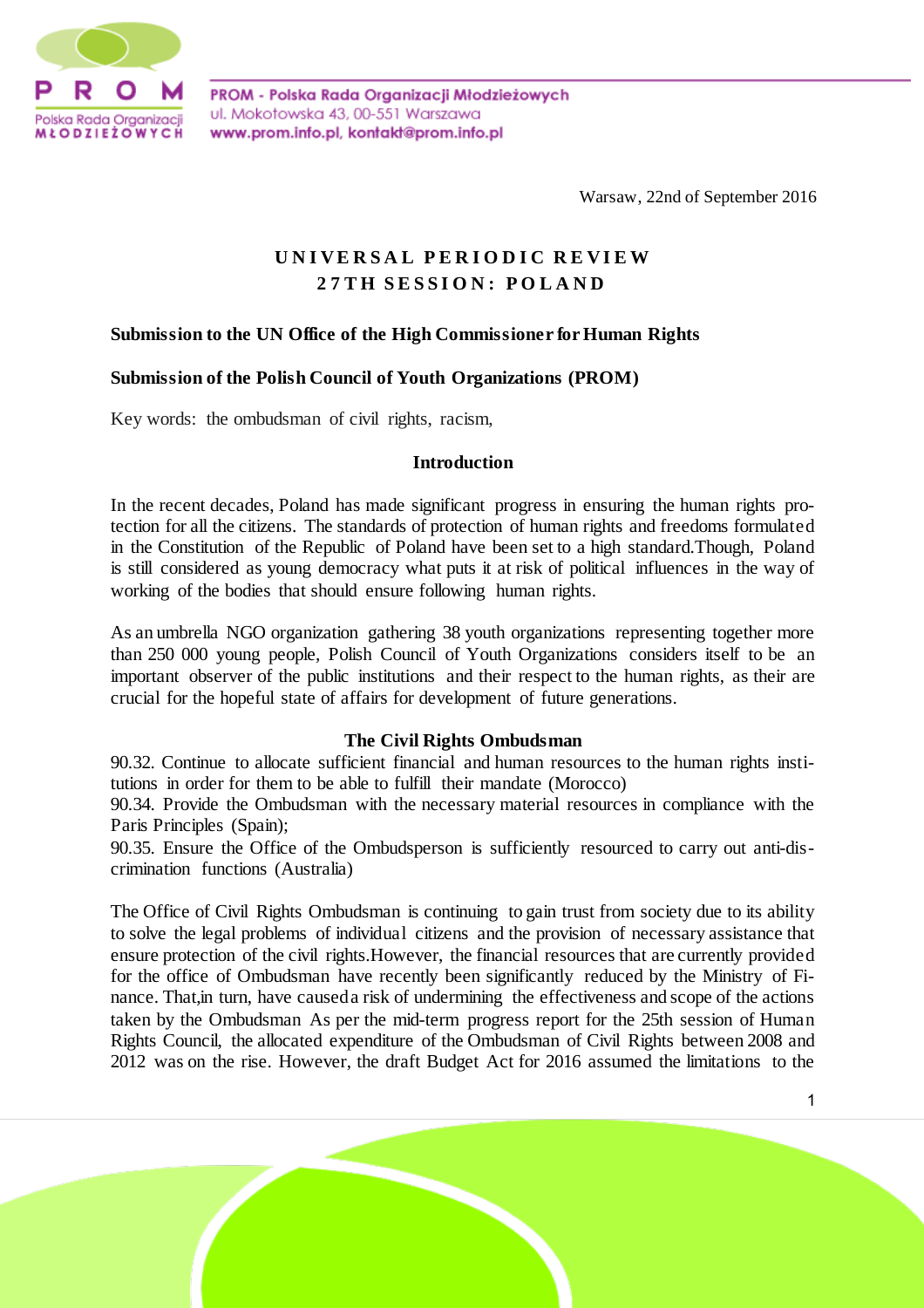

PROM - Polska Rada Organizacji Młodzieżowych ul. Mokotowska 43, 00-551 Warszawa www.prom.info.pl, kontakt@prom.info.pl

Warsaw, 22nd of September 2016

# **U N I V E R S A L P E R I O D I C R E V I E W 2 7 T H S E S S I O N : P O L A N D**

# **Submission to the UN Office of the High Commissioner for Human Rights**

#### **Submission of the Polish Council of Youth Organizations (PROM)**

Key words: the ombudsman of civil rights, racism,

#### **Introduction**

In the recent decades, Poland has made significant progress in ensuring the human rights protection for all the citizens. The standards of protection of human rights and freedoms formulated in the Constitution of the Republic of Poland have been set to a high standard.Though, Poland is still considered as young democracy what puts it at risk of political influences in the way of working of the bodies that should ensure following human rights.

As an umbrella NGO organization gathering 38 youth organizations representing together more than 250 000 young people, Polish Council of Youth Organizations considers itself to be an important observer of the public institutions and their respect to the human rights, as their are crucial for the hopeful state of affairs for development of future generations.

# **The Civil Rights Ombudsman**

90.32. Continue to allocate sufficient financial and human resources to the human rights institutions in order for them to be able to fulfill their mandate (Morocco)

90.34. Provide the Ombudsman with the necessary material resources in compliance with the Paris Principles (Spain);

90.35. Ensure the Office of the Ombudsperson is sufficiently resourced to carry out anti-discrimination functions (Australia)

The Office of Civil Rights Ombudsman is continuing to gain trust from society due to its ability to solve the legal problems of individual citizens and the provision of necessary assistance that ensure protection of the civil rights.However, the financial resources that are currently provided for the office of Ombudsman have recently been significantly reduced by the Ministry of Finance. That,in turn, have causeda risk of undermining the effectiveness and scope of the actions taken by the Ombudsman As per the mid-term progress report for the 25th session of Human Rights Council, the allocated expenditure of the Ombudsman of Civil Rights between 2008 and 2012 was on the rise. However, the draft Budget Act for 2016 assumed the limitations to the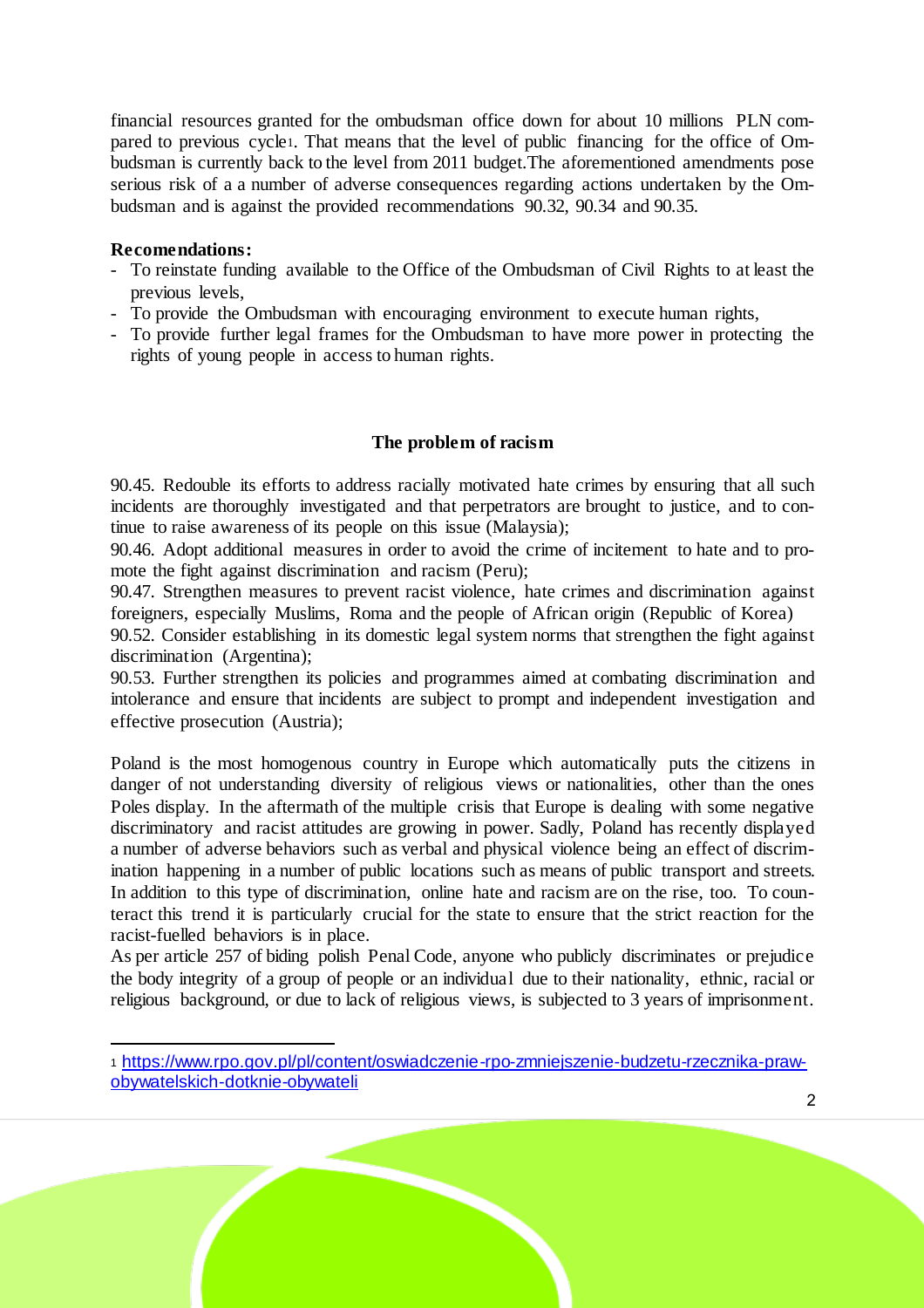financial resources granted for the ombudsman office down for about 10 millions PLN compared to previous cycle1. That means that the level of public financing for the office of Ombudsman is currently back to the level from 2011 budget.The aforementioned amendments pose serious risk of a a number of adverse consequences regarding actions undertaken by the Ombudsman and is against the provided recommendations 90.32, 90.34 and 90.35.

#### **Recomendations:**

1

- To reinstate funding available to the Office of the Ombudsman of Civil Rights to at least the previous levels,
- To provide the Ombudsman with encouraging environment to execute human rights,
- To provide further legal frames for the Ombudsman to have more power in protecting the rights of young people in access to human rights.

# **The problem of racism**

90.45. Redouble its efforts to address racially motivated hate crimes by ensuring that all such incidents are thoroughly investigated and that perpetrators are brought to justice, and to continue to raise awareness of its people on this issue (Malaysia);

90.46. Adopt additional measures in order to avoid the crime of incitement to hate and to promote the fight against discrimination and racism (Peru);

90.47. Strengthen measures to prevent racist violence, hate crimes and discrimination against foreigners, especially Muslims, Roma and the people of African origin (Republic of Korea)

90.52. Consider establishing in its domestic legal system norms that strengthen the fight against discrimination (Argentina);

90.53. Further strengthen its policies and programmes aimed at combating discrimination and intolerance and ensure that incidents are subject to prompt and independent investigation and effective prosecution (Austria);

Poland is the most homogenous country in Europe which automatically puts the citizens in danger of not understanding diversity of religious views or nationalities, other than the ones Poles display. In the aftermath of the multiple crisis that Europe is dealing with some negative discriminatory and racist attitudes are growing in power. Sadly, Poland has recently displayed a number of adverse behaviors such as verbal and physical violence being an effect of discrimination happening in a number of public locations such as means of public transport and streets. In addition to this type of discrimination, online hate and racism are on the rise, too. To counteract this trend it is particularly crucial for the state to ensure that the strict reaction for the racist-fuelled behaviors is in place.

As per article 257 of biding polish Penal Code, anyone who publicly discriminates or prejudice the body integrity of a group of people or an individual due to their nationality, ethnic, racial or religious background, or due to lack of religious views, is subjected to 3 years of imprisonment.

<sup>1</sup> https://www.rpo.gov.pl/pl/content/oswiadczenie-rpo-zmniejszenie-budzetu-rzecznika-prawobywatelskich-dotknie-obywateli